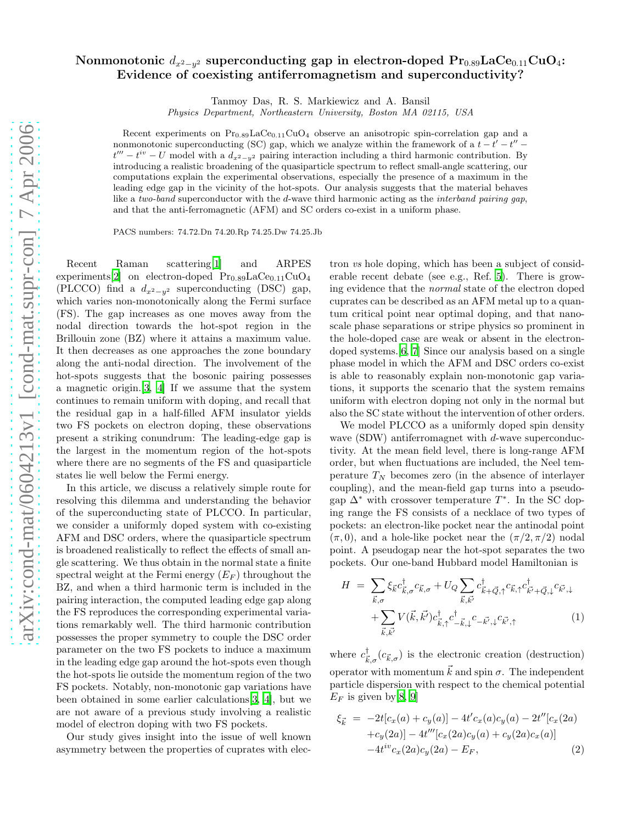## Nonmonotonic  $d_{x^2-y^2}$  superconducting gap in electron-doped  $\mathrm{Pr_{0.89}LaCe_{0.11}CuO_4}:$ Evidence of coexisting antiferromagnetism and superconductivity?

Tanmoy Das, R. S. Markiewicz and A. Bansil

Physics Department, Northeastern University, Boston MA 02115, USA

Recent experiments on  $Pr_{0.89} \text{LaCe}_{0.11} \text{CuO}_4$  observe an anisotropic spin-correlation gap and a nonmonotonic superconducting (SC) gap, which we analyze within the framework of a  $t-t'-t''$  $t''' - t^{iv} - U$  model with a  $d_{x^2-y^2}$  pairing interaction including a third harmonic contribution. By introducing a realistic broadening of the quasiparticle spectrum to reflect small-angle scattering, our computations explain the experimental observations, especially the presence of a maximum in the leading edge gap in the vicinity of the hot-spots. Our analysis suggests that the material behaves like a two-band superconductor with the d-wave third harmonic acting as the *interband pairing gap*, and that the anti-ferromagnetic (AFM) and SC orders co-exist in a uniform phase.

PACS numbers: 74.72.Dn 74.20.Rp 74.25.Dw 74.25.Jb

Recent Raman scattering[\[1\]](#page-3-0) and ARPES experiments[\[2](#page-3-1)] on electron-doped  $Pr_{0.89}$ LaCe<sub>0.11</sub>CuO<sub>4</sub> (PLCCO) find a  $d_{x^2-y^2}$  superconducting (DSC) gap, which varies non-monotonically along the Fermi surface (FS). The gap increases as one moves away from the nodal direction towards the hot-spot region in the Brillouin zone (BZ) where it attains a maximum value. It then decreases as one approaches the zone boundary along the anti-nodal direction. The involvement of the hot-spots suggests that the bosonic pairing possesses a magnetic origin.[\[3,](#page-3-2) [4](#page-3-3)] If we assume that the system continues to remain uniform with doping, and recall that the residual gap in a half-filled AFM insulator yields two FS pockets on electron doping, these observations present a striking conundrum: The leading-edge gap is the largest in the momentum region of the hot-spots where there are no segments of the FS and quasiparticle states lie well below the Fermi energy.

In this article, we discuss a relatively simple route for resolving this dilemma and understanding the behavior of the superconducting state of PLCCO. In particular, we consider a uniformly doped system with co-existing AFM and DSC orders, where the quasiparticle spectrum is broadened realistically to reflect the effects of small angle scattering. We thus obtain in the normal state a finite spectral weight at the Fermi energy  $(E_F)$  throughout the BZ, and when a third harmonic term is included in the pairing interaction, the computed leading edge gap along the FS reproduces the corresponding experimental variations remarkably well. The third harmonic contribution possesses the proper symmetry to couple the DSC order parameter on the two FS pockets to induce a maximum in the leading edge gap around the hot-spots even though the hot-spots lie outside the momentum region of the two FS pockets. Notably, non-monotonic gap variations have been obtained in some earlier calculations[\[3,](#page-3-2) [4](#page-3-3)], but we are not aware of a previous study involving a realistic model of electron doping with two FS pockets.

Our study gives insight into the issue of well known asymmetry between the properties of cuprates with elec-

tron vs hole doping, which has been a subject of considerable recent debate (see e.g., Ref. [5](#page-3-4)). There is growing evidence that the normal state of the electron doped cuprates can be described as an AFM metal up to a quantum critical point near optimal doping, and that nanoscale phase separations or stripe physics so prominent in the hole-doped case are weak or absent in the electrondoped systems.[\[6,](#page-3-5) [7\]](#page-3-6) Since our analysis based on a single phase model in which the AFM and DSC orders co-exist is able to reasonably explain non-monotonic gap variations, it supports the scenario that the system remains uniform with electron doping not only in the normal but also the SC state without the intervention of other orders.

We model PLCCO as a uniformly doped spin density wave (SDW) antiferromagnet with d-wave superconductivity. At the mean field level, there is long-range AFM order, but when fluctuations are included, the Neel temperature  $T_N$  becomes zero (in the absence of interlayer coupling), and the mean-field gap turns into a pseudogap  $\Delta^*$  with crossover temperature  $T^*$ . In the SC doping range the FS consists of a necklace of two types of pockets: an electron-like pocket near the antinodal point  $(\pi, 0)$ , and a hole-like pocket near the  $(\pi/2, \pi/2)$  nodal point. A pseudogap near the hot-spot separates the two pockets. Our one-band Hubbard model Hamiltonian is

<span id="page-0-0"></span>
$$
H = \sum_{\vec{k},\sigma} \xi_{\vec{k}} c_{\vec{k},\sigma}^{\dagger} c_{\vec{k},\sigma} + U_Q \sum_{\vec{k},\vec{k'}} c_{\vec{k}+\vec{Q},\uparrow}^{\dagger} c_{\vec{k},\uparrow} c_{\vec{k}+\vec{Q},\downarrow}^{\dagger} c_{\vec{k}',\downarrow}
$$

$$
+ \sum_{\vec{k},\vec{k'}} V(\vec{k},\vec{k'}) c_{\vec{k},\uparrow}^{\dagger} c_{-\vec{k},\downarrow}^{\dagger} c_{-\vec{k'},\downarrow} c_{\vec{k}',\uparrow} \tag{1}
$$

where  $c^{\dagger}_{\vec{k},\sigma}(c_{\vec{k},\sigma})$  is the electronic creation (destruction) operator with momentum  $\vec{k}$  and spin  $\sigma$ . The independent particle dispersion with respect to the chemical potential  $E_F$  is given by [\[8,](#page-4-0) [9\]](#page-4-1)

$$
\xi_{\vec{k}} = -2t[c_x(a) + c_y(a)] - 4t'c_x(a)c_y(a) - 2t''[c_x(2a) +c_y(2a)] - 4t'''[c_x(2a)c_y(a) + c_y(2a)c_x(a)] -4t^{iv}c_x(2a)c_y(2a) - E_F,
$$
\n(2)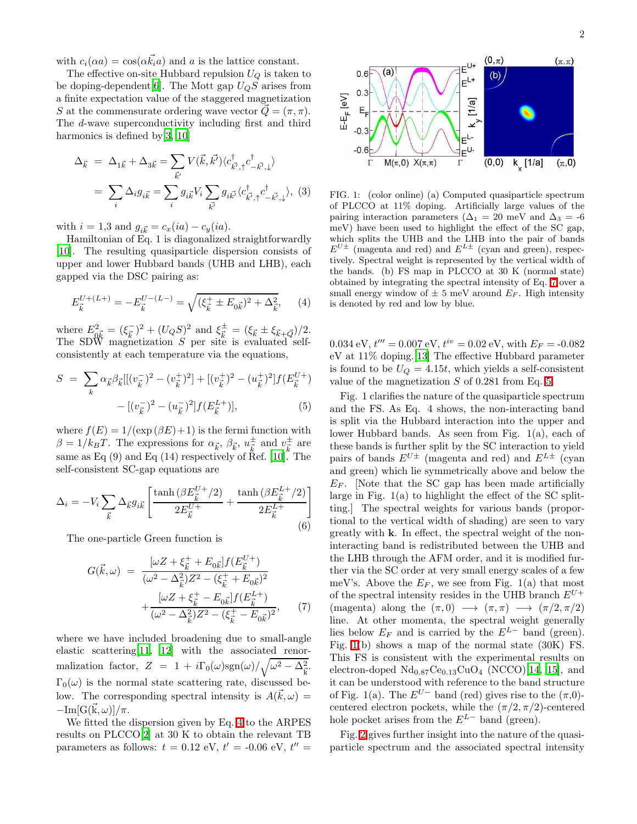with  $c_i(\alpha a) = \cos(\alpha \vec{k}_i a)$  and a is the lattice constant.

The effective on-site Hubbard repulsion  $U_Q$  is taken to be doping-dependent<br>[\[6\]](#page-3-5). The Mott gap  ${\cal U}_Q S$  arises from a finite expectation value of the staggered magnetization S at the commensurate ordering wave vector  $Q = (\pi, \pi)$ . The d-wave superconductivity including first and third harmonics is defined by [\[3](#page-3-2), [10](#page-4-2)]

<span id="page-1-4"></span>
$$
\Delta_{\vec{k}} = \Delta_{1\vec{k}} + \Delta_{3\vec{k}} = \sum_{\vec{k}'} V(\vec{k}, \vec{k'}) \langle c_{\vec{k'},\uparrow}^{\dagger} c_{-\vec{k'},\downarrow}^{\dagger} \rangle
$$

$$
= \sum_{i} \Delta_{i} g_{i\vec{k}} = \sum_{i} g_{i\vec{k}} V_{i} \sum_{\vec{k'}} g_{i\vec{k'}} \langle c_{\vec{k'},\uparrow}^{\dagger} c_{-\vec{k'},\downarrow}^{\dagger} \rangle, (3)
$$

with  $i = 1,3$  and  $g_{i\vec{k}} = c_x(ia) - c_y(ia)$ .

Hamiltonian of Eq. 1 is diagonalized straightforwardly [\[10\]](#page-4-2). The resulting quasiparticle dispersion consists of upper and lower Hubbard bands (UHB and LHB), each gapped via the DSC pairing as:

$$
E_{\vec{k}}^{U+(L+)} = -E_{\vec{k}}^{U-(L-)} = \sqrt{(\xi_{\vec{k}}^+ \pm E_{0\vec{k}})^2 + \Delta_{\vec{k}}^2},\qquad(4)
$$

<span id="page-1-0"></span>where  $E_{\vec{k}}^2 = (\xi_{\vec{k}}^{\perp})^2 + (U_Q S)^2$  and  $\xi_{\vec{k}}^{\pm} = (\xi_{\vec{k}} \pm \xi_{\vec{k} + \vec{Q}})/2$ . The SDW magnetization  $S$  per site is evaluated selfconsistently at each temperature via the equations,

<span id="page-1-2"></span>
$$
S = \sum_{k} \alpha_{\vec{k}} \beta_{\vec{k}} [[(v_{\vec{k}}^{-})^{2} - (v_{\vec{k}}^{+})^{2}] + [(v_{\vec{k}}^{+})^{2} - (u_{\vec{k}}^{+})^{2}] f(E_{\vec{k}}^{U+}) - [(v_{\vec{k}}^{-})^{2} - (u_{\vec{k}}^{-})^{2}] f(E_{\vec{k}}^{L+})],
$$
\n(5)

where  $f(E) = 1/(\exp(\beta E) + 1)$  is the fermi function with  $\beta = 1/k_B T$ . The expressions for  $\alpha_{\vec{k}}, \beta_{\vec{k}}, u_{\vec{k}}^{\pm}$  and  $v_{\vec{k}}^{\pm}$  are same as Eq  $(9)$  and Eq  $(14)$  respectively of Ref. [\[10](#page-4-2)]. The self-consistent SC-gap equations are

<span id="page-1-5"></span>
$$
\Delta_i = -V_i \sum_{\vec{k}} \Delta_{\vec{k}} g_{i\vec{k}} \left[ \frac{\tanh \left( \beta E_{\vec{k}}^{U+} / 2 \right)}{2 E_{\vec{k}}^{U+}} + \frac{\tanh \left( \beta E_{\vec{k}}^{L+} / 2 \right)}{2 E_{\vec{k}}^{L+}} \right]
$$
(6)

<span id="page-1-1"></span>The one-particle Green function is

$$
G(\vec{k}, \omega) = \frac{[\omega Z + \xi_{\vec{k}}^+ + E_{0\vec{k}}]f(E_{\vec{k}}^{U+})}{(\omega^2 - \Delta_{\vec{k}}^2)Z^2 - (\xi_{\vec{k}}^+ + E_{0\vec{k}})^2} + \frac{[\omega Z + \xi_{\vec{k}}^+ - E_{0\vec{k}}]f(E_{\vec{k}}^{L+})}{(\omega^2 - \Delta_{\vec{k}}^2)Z^2 - (\xi_{\vec{k}}^+ - E_{0\vec{k}})^2},
$$
(7)

where we have included broadening due to small-angle elastic scattering[\[11,](#page-4-3) [12\]](#page-4-4) with the associated renormalization factor,  $Z = 1 + i\Gamma_0(\omega)sgn(\omega)/\sqrt{\omega^2 - \Delta_{\vec{k}}^2}$ .  $\Gamma_0(\omega)$  is the normal state scattering rate, discussed below. The corresponding spectral intensity is  $A(\vec{k}, \omega) =$  $-\text{Im}[G(\vec{k}, \omega)]/\pi.$ 

We fitted the dispersion given by Eq. [4](#page-1-0) to the ARPES results on PLCCO[\[2\]](#page-3-1) at 30 K to obtain the relevant TB parameters as follows:  $t = 0.12$  eV,  $t' = -0.06$  eV,  $t'' =$ 



<span id="page-1-3"></span>FIG. 1: (color online) (a) Computed quasiparticle spectrum of PLCCO at 11% doping. Artificially large values of the pairing interaction parameters ( $\Delta_1 = 20$  meV and  $\Delta_3 = -6$ meV) have been used to highlight the effect of the SC gap, which splits the UHB and the LHB into the pair of bands  $E^{U\pm}$  (magenta and red) and  $E^{L\pm}$  (cyan and green), respectively. Spectral weight is represented by the vertical width of the bands. (b) FS map in PLCCO at 30 K (normal state) obtained by integrating the spectral intensity of Eq. [7](#page-1-1) over a small energy window of  $\pm$  5 meV around  $E_F$ . High intensity is denoted by red and low by blue.

 $0.034 \text{ eV}, t^{\prime \prime \prime} = 0.007 \text{ eV}, t^{\dot{\imath}v} = 0.02 \text{ eV}, \text{with } E_F = -0.082$ eV at 11% doping.[\[13\]](#page-4-5) The effective Hubbard parameter is found to be  $U_Q = 4.15t$ , which yields a self-consistent value of the magnetization  $S$  of 0.281 from Eq. [5.](#page-1-2)

Fig. 1 clarifies the nature of the quasiparticle spectrum and the FS. As Eq. 4 shows, the non-interacting band is split via the Hubbard interaction into the upper and lower Hubbard bands. As seen from Fig. 1(a), each of these bands is further split by the SC interaction to yield pairs of bands  $E^{U\pm}$  (magenta and red) and  $E^{L\pm}$  (cyan and green) which lie symmetrically above and below the  $E_F$ . Note that the SC gap has been made artificially large in Fig. 1(a) to highlight the effect of the SC splitting.] The spectral weights for various bands (proportional to the vertical width of shading) are seen to vary greatly with k. In effect, the spectral weight of the noninteracting band is redistributed between the UHB and the LHB through the AFM order, and it is modified further via the SC order at very small energy scales of a few meV's. Above the  $E_F$ , we see from Fig. 1(a) that most of the spectral intensity resides in the UHB branch  $E^{U+}$ (magenta) along the  $(\pi, 0) \longrightarrow (\pi, \pi) \longrightarrow (\pi/2, \pi/2)$ line. At other momenta, the spectral weight generally lies below  $E_F$  and is carried by the  $E^{L-}$  band (green). Fig. [1\(](#page-1-3)b) shows a map of the normal state (30K) FS. This FS is consistent with the experimental results on electron-doped  $\text{Nd}_{0.87}\text{Ce}_{0.13}\text{CuO}_4$  (NCCO)[\[14,](#page-4-6) [15](#page-4-7)], and it can be understood with reference to the band structure of Fig. 1(a). The  $E^{U-}$  band (red) gives rise to the  $(\pi,0)$ centered electron pockets, while the  $(\pi/2, \pi/2)$ -centered hole pocket arises from the  $E^{L-}$  band (green).

Fig. [2](#page-2-0) gives further insight into the nature of the quasiparticle spectrum and the associated spectral intensity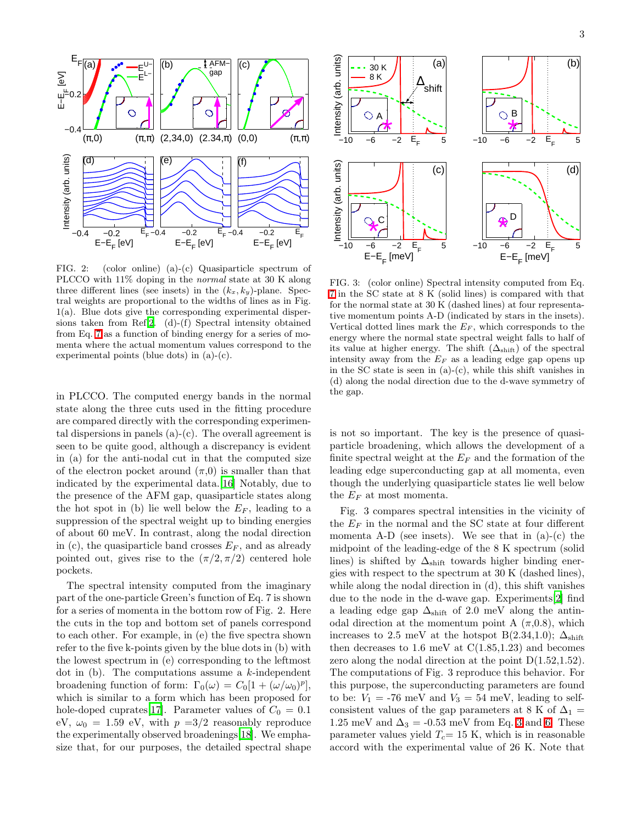

<span id="page-2-0"></span>FIG. 2: (color online) (a)-(c) Quasiparticle spectrum of PLCCO with 11% doping in the normal state at 30 K along three different lines (see insets) in the  $(k_x, k_y)$ -plane. Spectral weights are proportional to the widths of lines as in Fig. 1(a). Blue dots give the corresponding experimental dispersions taken from Ref[.2.](#page-3-1) (d)-(f) Spectral intensity obtained from Eq. [7](#page-1-1) as a function of binding energy for a series of momenta where the actual momentum values correspond to the experimental points (blue dots) in (a)-(c).

in PLCCO. The computed energy bands in the normal state along the three cuts used in the fitting procedure are compared directly with the corresponding experimental dispersions in panels (a)-(c). The overall agreement is seen to be quite good, although a discrepancy is evident in (a) for the anti-nodal cut in that the computed size of the electron pocket around  $(\pi,0)$  is smaller than that indicated by the experimental data.[\[16](#page-4-8)] Notably, due to the presence of the AFM gap, quasiparticle states along the hot spot in (b) lie well below the  $E_F$ , leading to a suppression of the spectral weight up to binding energies of about 60 meV. In contrast, along the nodal direction in (c), the quasiparticle band crosses  $E_F$ , and as already pointed out, gives rise to the  $(\pi/2, \pi/2)$  centered hole pockets.

The spectral intensity computed from the imaginary part of the one-particle Green's function of Eq. 7 is shown for a series of momenta in the bottom row of Fig. 2. Here the cuts in the top and bottom set of panels correspond to each other. For example, in (e) the five spectra shown refer to the five k-points given by the blue dots in (b) with the lowest spectrum in (e) corresponding to the leftmost dot in  $(b)$ . The computations assume a k-independent broadening function of form:  $\Gamma_0(\omega) = C_0[1 + (\omega/\omega_0)^p],$ which is similar to a form which has been proposed for hole-doped cuprates [\[17\]](#page-4-9). Parameter values of  $C_0 = 0.1$ eV,  $\omega_0 = 1.59$  eV, with  $p = 3/2$  reasonably reproduce the experimentally observed broadenings[\[18\]](#page-4-10). We emphasize that, for our purposes, the detailed spectral shape



FIG. 3: (color online) Spectral intensity computed from Eq. [7](#page-1-1) in the SC state at 8 K (solid lines) is compared with that for the normal state at 30 K (dashed lines) at four representative momentum points A-D (indicated by stars in the insets). Vertical dotted lines mark the  $E_F$ , which corresponds to the energy where the normal state spectral weight falls to half of its value at higher energy. The shift  $(\Delta_{\text{shift}})$  of the spectral intensity away from the  $E_F$  as a leading edge gap opens up in the SC state is seen in  $(a)-(c)$ , while this shift vanishes in (d) along the nodal direction due to the d-wave symmetry of the gap.

is not so important. The key is the presence of quasiparticle broadening, which allows the development of a finite spectral weight at the  $E_F$  and the formation of the leading edge superconducting gap at all momenta, even though the underlying quasiparticle states lie well below the  $E_F$  at most momenta.

Fig. 3 compares spectral intensities in the vicinity of the  $E_F$  in the normal and the SC state at four different momenta A-D (see insets). We see that in  $(a)-(c)$  the midpoint of the leading-edge of the 8 K spectrum (solid lines) is shifted by  $\Delta_{\text{shift}}$  towards higher binding energies with respect to the spectrum at 30 K (dashed lines), while along the nodal direction in (d), this shift vanishes due to the node in the d-wave gap. Experiments[\[2](#page-3-1)] find a leading edge gap  $\Delta_{\text{shift}}$  of 2.0 meV along the antinodal direction at the momentum point A  $(\pi, 0.8)$ , which increases to 2.5 meV at the hotspot B(2.34,1.0);  $\Delta_{\text{shift}}$ then decreases to  $1.6 \text{ meV}$  at  $C(1.85, 1.23)$  and becomes zero along the nodal direction at the point  $D(1.52,1.52)$ . The computations of Fig. 3 reproduce this behavior. For this purpose, the superconducting parameters are found to be:  $V_1 = -76$  meV and  $V_3 = 54$  meV, leading to selfconsistent values of the gap parameters at 8 K of  $\Delta_1$  = 1.25 meV and  $\Delta_3 = -0.53$  meV from Eq. [3](#page-1-4) and [6.](#page-1-5) These parameter values yield  $T_c= 15$  K, which is in reasonable accord with the experimental value of 26 K. Note that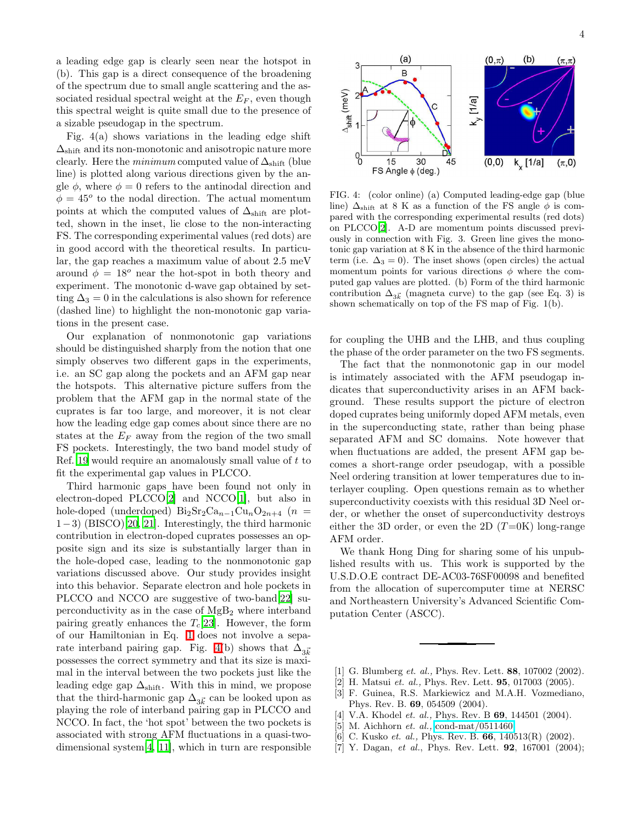a leading edge gap is clearly seen near the hotspot in (b). This gap is a direct consequence of the broadening of the spectrum due to small angle scattering and the associated residual spectral weight at the  $E_F$ , even though this spectral weight is quite small due to the presence of a sizable pseudogap in the spectrum.

Fig. 4(a) shows variations in the leading edge shift  $\Delta_{\text{shift}}$  and its non-monotonic and anisotropic nature more clearly. Here the *minimum* computed value of  $\Delta_{\text{shift}}$  (blue line) is plotted along various directions given by the angle  $\phi$ , where  $\phi = 0$  refers to the antinodal direction and  $\phi = 45^{\circ}$  to the nodal direction. The actual momentum points at which the computed values of  $\Delta_{\text{shift}}$  are plotted, shown in the inset, lie close to the non-interacting FS. The corresponding experimental values (red dots) are in good accord with the theoretical results. In particular, the gap reaches a maximum value of about 2.5 meV around  $\phi = 18^{\circ}$  near the hot-spot in both theory and experiment. The monotonic d-wave gap obtained by setting  $\Delta_3 = 0$  in the calculations is also shown for reference (dashed line) to highlight the non-monotonic gap variations in the present case.

Our explanation of nonmonotonic gap variations should be distinguished sharply from the notion that one simply observes two different gaps in the experiments, i.e. an SC gap along the pockets and an AFM gap near the hotspots. This alternative picture suffers from the problem that the AFM gap in the normal state of the cuprates is far too large, and moreover, it is not clear how the leading edge gap comes about since there are no states at the  $E_F$  away from the region of the two small FS pockets. Interestingly, the two band model study of Ref. [19](#page-4-11) would require an anomalously small value of t to fit the experimental gap values in PLCCO.

Third harmonic gaps have been found not only in electron-doped PLCCO[\[2\]](#page-3-1) and NCCO[\[1\]](#page-3-0), but also in hole-doped (underdoped)  $\text{Bi}_2\text{Sr}_2\text{Ca}_{n-1}\text{Cu}_n\text{O}_{2n+4}$  (n = 1−3) (BISCO)[\[20,](#page-4-12) [21](#page-4-13)]. Interestingly, the third harmonic contribution in electron-doped cuprates possesses an opposite sign and its size is substantially larger than in the hole-doped case, leading to the nonmonotonic gap variations discussed above. Our study provides insight into this behavior. Separate electron and hole pockets in PLCCO and NCCO are suggestive of two-band[\[22](#page-4-14)] superconductivity as in the case of  $MgB<sub>2</sub>$  where interband pairing greatly enhances the  $T_c[23]$  $T_c[23]$ . However, the form of our Hamiltonian in Eq. [1](#page-0-0) does not involve a sepa-rate interband pairing gap. Fig. [4\(](#page-3-7)b) shows that  $\Delta_{3\vec{k}}$ possesses the correct symmetry and that its size is maximal in the interval between the two pockets just like the leading edge gap  $\Delta_{\text{shift}}$ . With this in mind, we propose that the third-harmonic gap  $\Delta_{3\vec{k}}$  can be looked upon as playing the role of interband pairing gap in PLCCO and NCCO. In fact, the 'hot spot' between the two pockets is associated with strong AFM fluctuations in a quasi-twodimensional system[\[4,](#page-3-3) [11\]](#page-4-3), which in turn are responsible  $(0, 0)$ 

 $k_{x}$  [1/a]

 $\Delta_{\mathsf{shiff}}$  (meV)

 $9^{\mid}$ 

15

FS Angle  $\phi$  (deg.)

30

<span id="page-3-7"></span>FIG. 4: (color online) (a) Computed leading-edge gap (blue line)  $\Delta_{\text{shift}}$  at 8 K as a function of the FS angle  $\phi$  is compared with the corresponding experimental results (red dots) on PLCCO[\[2](#page-3-1)]. A-D are momentum points discussed previously in connection with Fig. 3. Green line gives the monotonic gap variation at 8 K in the absence of the third harmonic term (i.e.  $\Delta_3 = 0$ ). The inset shows (open circles) the actual momentum points for various directions  $\phi$  where the computed gap values are plotted. (b) Form of the third harmonic contribution  $\Delta_{3\vec{k}}$  (magneta curve) to the gap (see Eq. 3) is shown schematically on top of the FS map of Fig. 1(b).

45

for coupling the UHB and the LHB, and thus coupling the phase of the order parameter on the two FS segments.

The fact that the nonmonotonic gap in our model is intimately associated with the AFM pseudogap indicates that superconductivity arises in an AFM background. These results support the picture of electron doped cuprates being uniformly doped AFM metals, even in the superconducting state, rather than being phase separated AFM and SC domains. Note however that when fluctuations are added, the present AFM gap becomes a short-range order pseudogap, with a possible Neel ordering transition at lower temperatures due to interlayer coupling. Open questions remain as to whether superconductivity coexists with this residual 3D Neel order, or whether the onset of superconductivity destroys either the 3D order, or even the 2D  $(T=0K)$  long-range AFM order.

We thank Hong Ding for sharing some of his unpublished results with us. This work is supported by the U.S.D.O.E contract DE-AC03-76SF00098 and benefited from the allocation of supercomputer time at NERSC and Northeastern University's Advanced Scientific Computation Center (ASCC).

- [1] G. Blumberg et. al., Phys. Rev. Lett. 88, 107002 (2002).
- <span id="page-3-1"></span><span id="page-3-0"></span>[2] H. Matsui et. al., Phys. Rev. Lett. **95**, 017003 (2005).
- <span id="page-3-2"></span>[3] F. Guinea, R.S. Markiewicz and M.A.H. Vozmediano, Phys. Rev. B. 69, 054509 (2004).
- <span id="page-3-3"></span>[4] V.A. Khodel *et. al.*, Phys. Rev. B **69**, 144501 (2004).
- <span id="page-3-4"></span> $[5]$  M. Aichhorn *et. al.*, [cond-mat/0511460.](http://arxiv.org/abs/cond-mat/0511460)
- [6] C. Kusko et. al., Phys. Rev. B. 66, 140513(R) (2002).
- <span id="page-3-6"></span><span id="page-3-5"></span>[7] Y. Dagan, et al., Phys. Rev. Lett. **92**, 167001 (2004);

 $(\pi,0)$